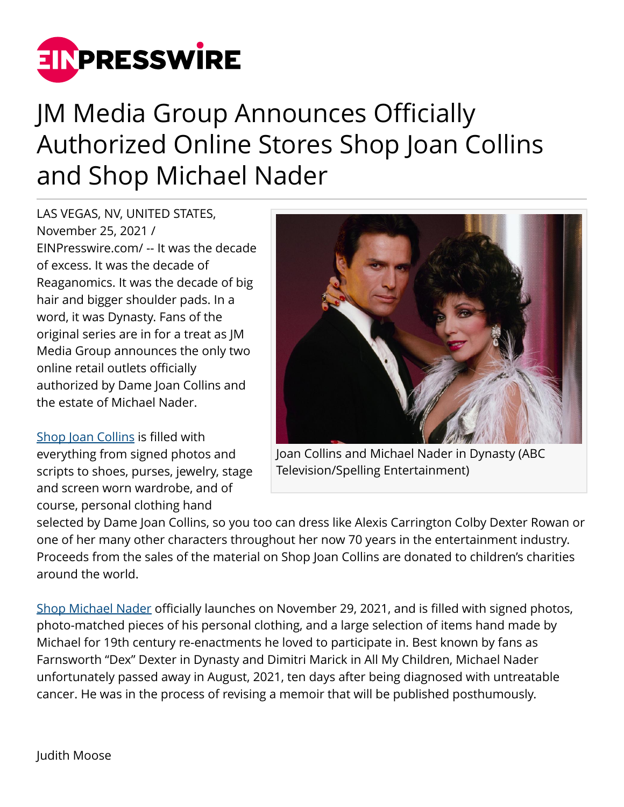

## JM Media Group Announces Officially Authorized Online Stores Shop Joan Collins and Shop Michael Nader

LAS VEGAS, NV, UNITED STATES, November 25, 2021 / [EINPresswire.com](http://www.einpresswire.com)/ -- It was the decade of excess. It was the decade of Reaganomics. It was the decade of big hair and bigger shoulder pads. In a word, it was Dynasty. Fans of the original series are in for a treat as JM Media Group announces the only two online retail outlets officially authorized by Dame Joan Collins and the estate of Michael Nader.

[Shop Joan Collins](http://www.shopjoancollins.com) is filled with everything from signed photos and scripts to shoes, purses, jewelry, stage and screen worn wardrobe, and of course, personal clothing hand



Joan Collins and Michael Nader in Dynasty (ABC Television/Spelling Entertainment)

selected by Dame Joan Collins, so you too can dress like Alexis Carrington Colby Dexter Rowan or one of her many other characters throughout her now 70 years in the entertainment industry. Proceeds from the sales of the material on Shop Joan Collins are donated to children's charities around the world.

[Shop Michael Nader](http://www.shopmichaelnader.com) officially launches on November 29, 2021, and is filled with signed photos, photo-matched pieces of his personal clothing, and a large selection of items hand made by Michael for 19th century re-enactments he loved to participate in. Best known by fans as Farnsworth "Dex" Dexter in Dynasty and Dimitri Marick in All My Children, Michael Nader unfortunately passed away in August, 2021, ten days after being diagnosed with untreatable cancer. He was in the process of revising a memoir that will be published posthumously.